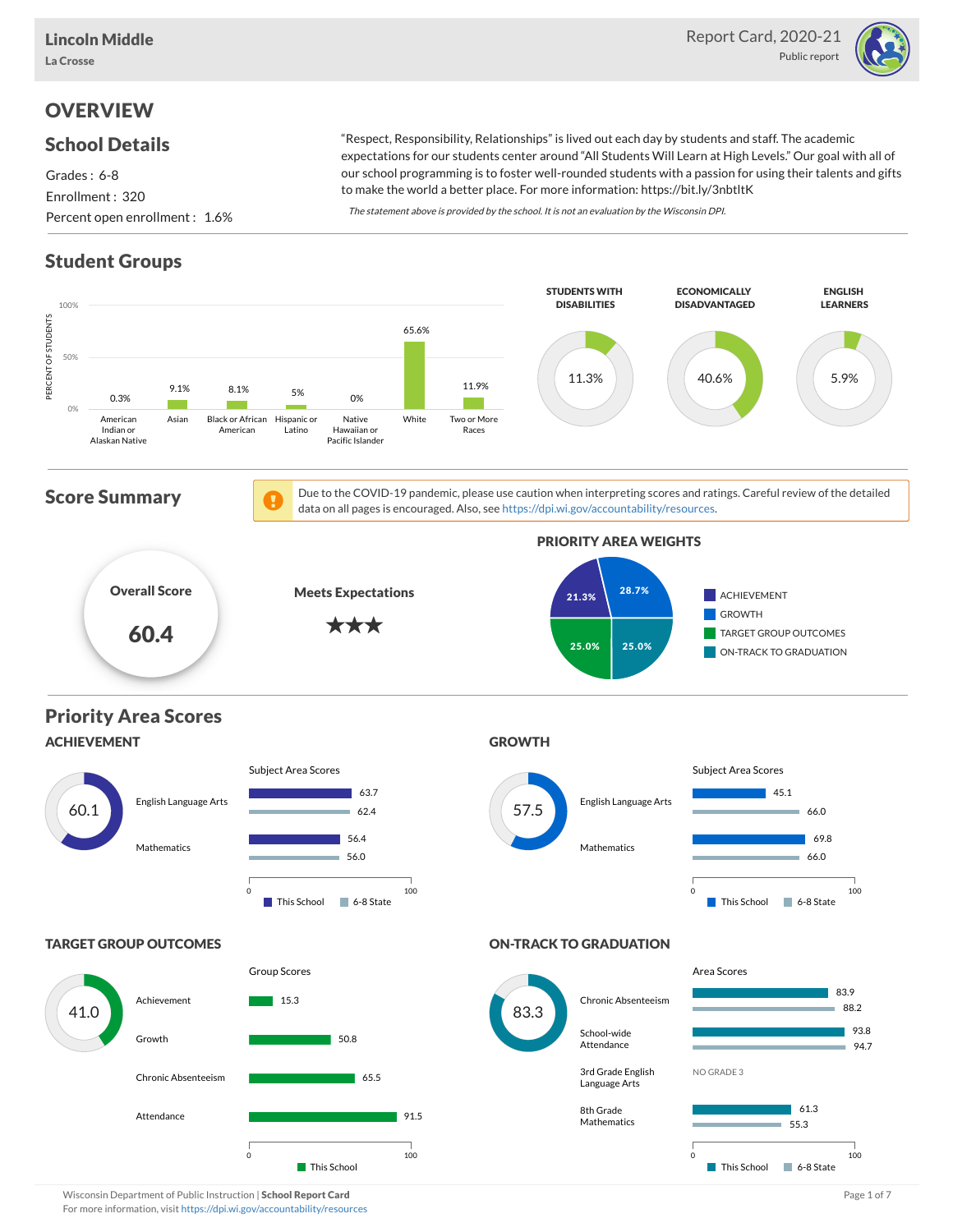

# **OVERVIEW**

### School Details

Grades : 6-8 Enrollment : 320 Percent open enrollment : 1.6%

"Respect, Responsibility, Relationships" is lived out each day by students and staff. The academic expectations for our students center around "All Students Will Learn at High Levels." Our goal with all of our school programming is to foster well-rounded students with a passion for using their talents and gifts to make the world a better place. For more information: https://bit.ly/3nbtltK

The statement above is provided by the school. It is not an evaluation by the Wisconsin DPI.

# Student Groups



Wisconsin Department of Public Instruction | School Report Card Page 1 of 7 and 2008 and 2008 and Page 1 of 7 For more information, visit <https://dpi.wi.gov/accountability/resources>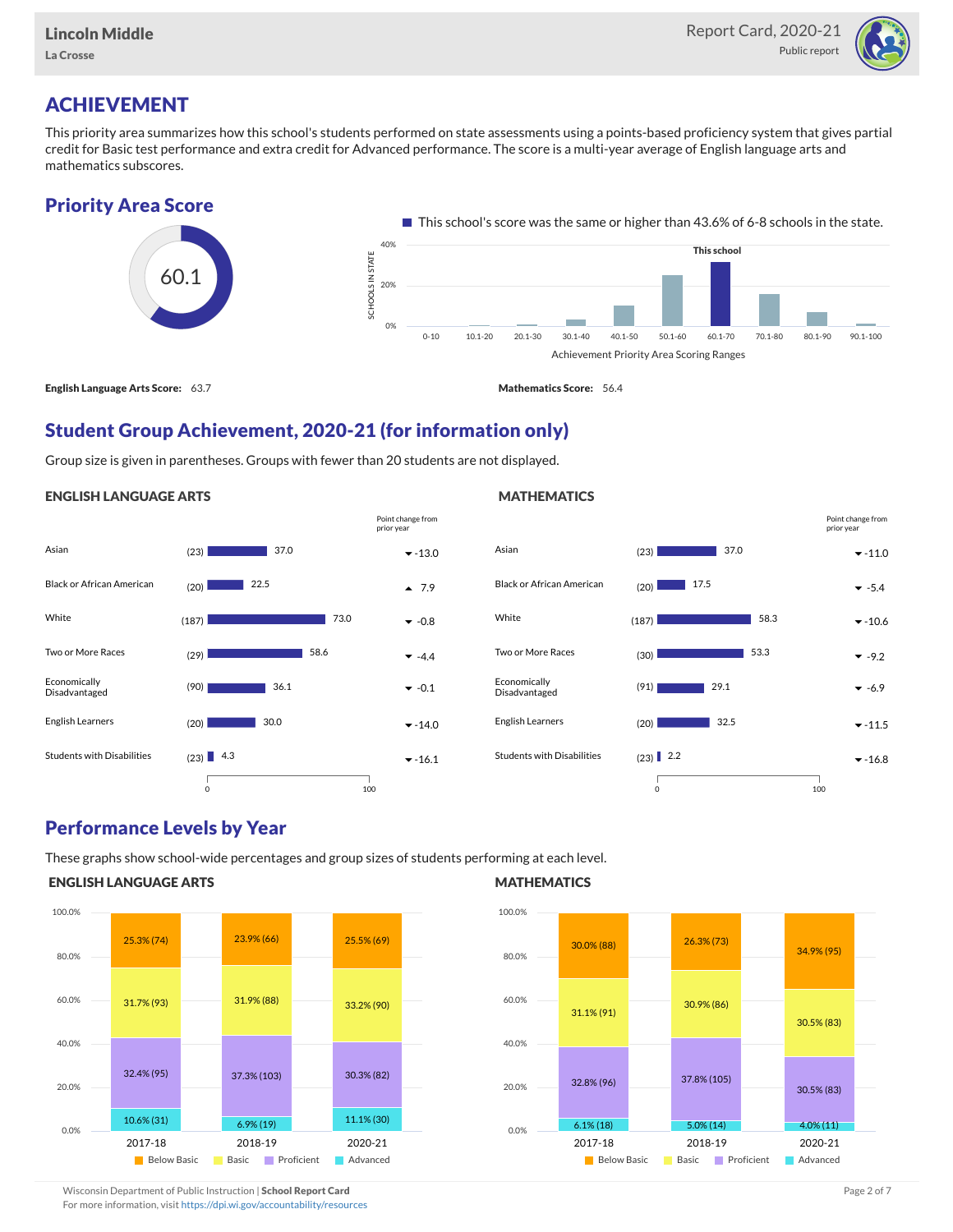

# ACHIEVEMENT

This priority area summarizes how this school's students performed on state assessments using a points-based proficiency system that gives partial credit for Basic test performance and extra credit for Advanced performance. The score is a multi-year average of English language arts and mathematics subscores.

### Priority Area Score



### Student Group Achievement, 2020-21 (for information only)

Group size is given in parentheses. Groups with fewer than 20 students are not displayed.

#### ENGLISH LANGUAGE ARTS



#### Asian (23) -11.0 Black or African American  $(20)$   $\overline{\phantom{2}}$  17.5 White  $(187)$   $58.3$   $\sqrt{10.6}$ Two or More Races (30) -9.2 Economically Disadvantaged  $(91)$  29.1  $\times$  -6.9 English Learners  $(20)$   $32.5$   $\bullet$  -11.5 Students with Disabilities  $(23)$  2.2 37.0 58.3 | 53.3 32.5  $(23)$  2.2 0 100 Point change from prior year

### Performance Levels by Year

These graphs show school-wide percentages and group sizes of students performing at each level.

### ENGLISH LANGUAGE ARTS



#### **MATHEMATICS**

**MATHEMATICS** 



Wisconsin Department of Public Instruction | School Report Card Page 2 of 7 and 2008 and 2009 and 2 of 7 and 2 of 7 For more information, visit <https://dpi.wi.gov/accountability/resources>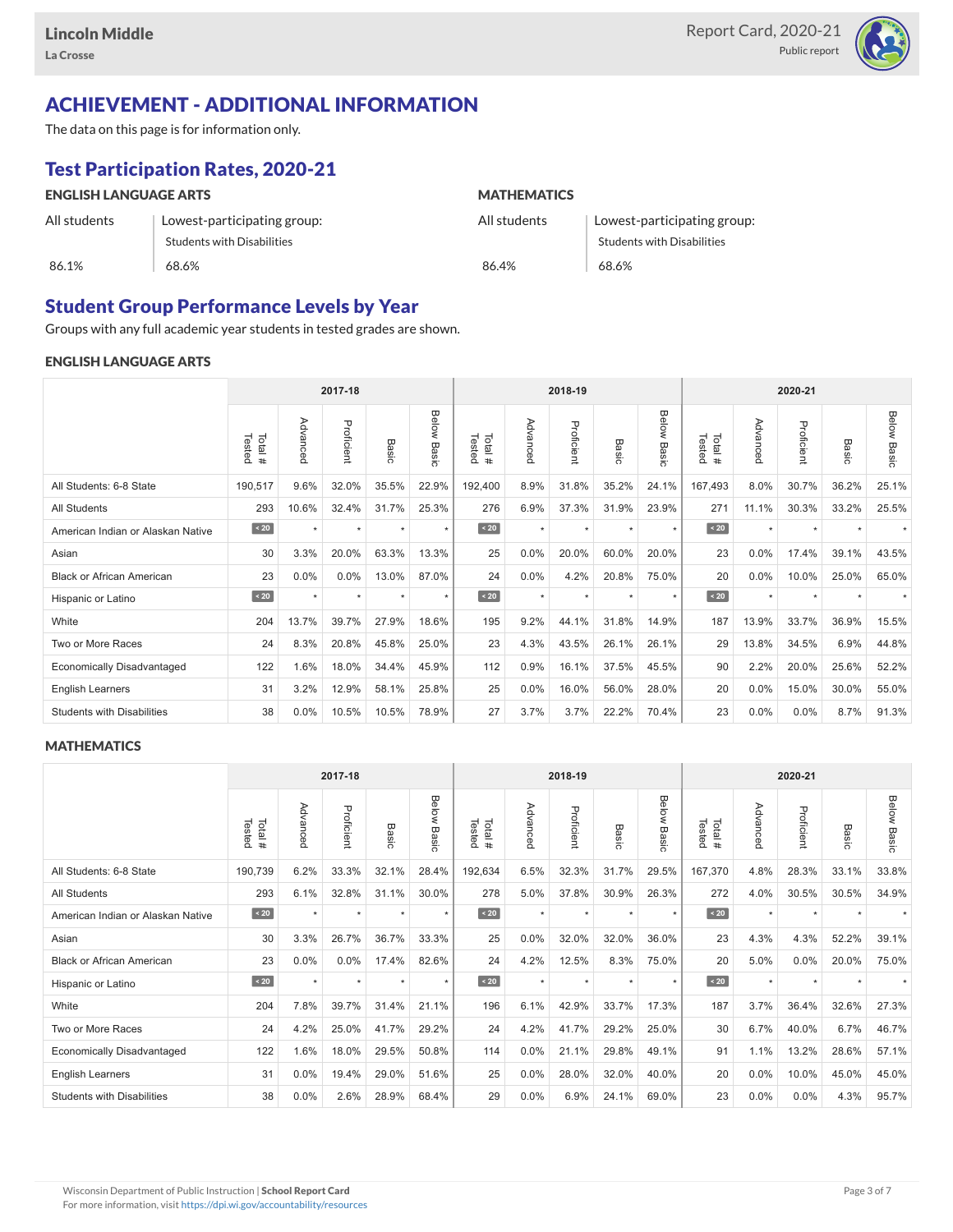

# ACHIEVEMENT - ADDITIONAL INFORMATION

The data on this page is for information only.

# Test Participation Rates, 2020-21

| <b>ENGLISH LANGUAGE ARTS</b> |                                   | <b>MATHEMATICS</b> |                             |  |  |  |  |  |
|------------------------------|-----------------------------------|--------------------|-----------------------------|--|--|--|--|--|
| All students                 | Lowest-participating group:       | All students       | Lowest-participating group: |  |  |  |  |  |
|                              | <b>Students with Disabilities</b> |                    | Students with Disabilities  |  |  |  |  |  |
| 86.1%                        | 68.6%                             | 86.4%              | 68.6%                       |  |  |  |  |  |

### Student Group Performance Levels by Year

Groups with any full academic year students in tested grades are shown.

#### ENGLISH LANGUAGE ARTS

|                                   |                  |          | 2017-18    |         |                |                   |          | 2018-19    |                  |                |                  |          | 2020-21    |           |                    |  |  |  |  |
|-----------------------------------|------------------|----------|------------|---------|----------------|-------------------|----------|------------|------------------|----------------|------------------|----------|------------|-----------|--------------------|--|--|--|--|
|                                   | Tested<br>Total# | Advanced | Proficient | Basic   | Below<br>Basic | Tested<br>Total # | Advanced | Proficient | Basi<br>$\Omega$ | Below<br>Basic | Tested<br>Total# | Advanced | Proficient | Basic     | <b>Below Basic</b> |  |  |  |  |
| All Students: 6-8 State           | 190,517          | 9.6%     | 32.0%      | 35.5%   | 22.9%          | 192,400           | 8.9%     | 31.8%      | 35.2%            | 24.1%          | 167,493          | 8.0%     | 30.7%      | 36.2%     | 25.1%              |  |  |  |  |
| <b>All Students</b>               | 293              | 10.6%    | 32.4%      | 31.7%   | 25.3%          | 276               | 6.9%     | 37.3%      | 31.9%            | 23.9%          | 271              | 11.1%    | 30.3%      | 33.2%     | 25.5%              |  |  |  |  |
| American Indian or Alaskan Native | $\angle 20$      | $\star$  | $\star$    | ٠       | $\star$        | $\angle 20$       | $\star$  | $\star$    | $\star$          | $\star$        | $\sim 20$        | $\star$  | $\star$    | $\ddot{}$ |                    |  |  |  |  |
| Asian                             | 30               | 3.3%     | 20.0%      | 63.3%   | 13.3%          | 25                | 0.0%     | 20.0%      | 60.0%            | 20.0%          | 23               | 0.0%     | 17.4%      | 39.1%     | 43.5%              |  |  |  |  |
| <b>Black or African American</b>  | 23               | 0.0%     | 0.0%       | 13.0%   | 87.0%          | 24                | 0.0%     | 4.2%       | 20.8%            | 75.0%          | 20               | 0.0%     | 10.0%      | 25.0%     | 65.0%              |  |  |  |  |
| Hispanic or Latino                | $\angle 20$      |          | $\star$    | $\star$ | $\star$        | $\angle 20$       | $\star$  | $\star$    | $\star$          | $\star$        | $\angle 20$      | $\star$  | $\star$    |           |                    |  |  |  |  |
| White                             | 204              | 13.7%    | 39.7%      | 27.9%   | 18.6%          | 195               | 9.2%     | 44.1%      | 31.8%            | 14.9%          | 187              | 13.9%    | 33.7%      | 36.9%     | 15.5%              |  |  |  |  |
| Two or More Races                 | 24               | 8.3%     | 20.8%      | 45.8%   | 25.0%          | 23                | 4.3%     | 43.5%      | 26.1%            | 26.1%          | 29               | 13.8%    | 34.5%      | 6.9%      | 44.8%              |  |  |  |  |
| <b>Economically Disadvantaged</b> | 122              | 1.6%     | 18.0%      | 34.4%   | 45.9%          | 112               | 0.9%     | 16.1%      | 37.5%            | 45.5%          | 90               | 2.2%     | 20.0%      | 25.6%     | 52.2%              |  |  |  |  |
| <b>English Learners</b>           | 31               | 3.2%     | 12.9%      | 58.1%   | 25.8%          | 25                | 0.0%     | 16.0%      | 56.0%            | 28.0%          | 20               | 0.0%     | 15.0%      | 30.0%     | 55.0%              |  |  |  |  |
| <b>Students with Disabilities</b> | 38               | 0.0%     | 10.5%      | 10.5%   | 78.9%          | 27                | 3.7%     | 3.7%       | 22.2%            | 70.4%          | 23               | $0.0\%$  | $0.0\%$    | 8.7%      | 91.3%              |  |  |  |  |

#### **MATHEMATICS**

|                                   |                  |           |            |         | 2018-19        | 2020-21          |          |            |           |                |                  |          |            |       |                    |
|-----------------------------------|------------------|-----------|------------|---------|----------------|------------------|----------|------------|-----------|----------------|------------------|----------|------------|-------|--------------------|
|                                   | Tested<br>Total# | Advanced  | Proficient | Basic   | Below<br>Basic | Tested<br>Total# | Advanced | Proficient | Basic     | Below<br>Basic | Tested<br>Total# | Advanced | Proficient | Basic | <b>Below Basic</b> |
| All Students: 6-8 State           | 190,739          | 6.2%      | 33.3%      | 32.1%   | 28.4%          | 192,634          | 6.5%     | 32.3%      | 31.7%     | 29.5%          | 167,370          | 4.8%     | 28.3%      | 33.1% | 33.8%              |
| <b>All Students</b>               | 293              | 6.1%      | 32.8%      | 31.1%   | 30.0%          | 278              | 5.0%     | 37.8%      | 30.9%     | 26.3%          | 272              | 4.0%     | 30.5%      | 30.5% | 34.9%              |
| American Indian or Alaskan Native | $\angle 20$      | $\star$   | $\star$    | ٠       | $\star$        | $\angle 20$      | $\star$  | $\star$    | $\ddot{}$ | $\star$        | $\angle 20$      | $\star$  | $\star$    |       |                    |
| Asian                             | 30               | 3.3%      | 26.7%      | 36.7%   | 33.3%          | 25               | 0.0%     | 32.0%      | 32.0%     | 36.0%          | 23               | 4.3%     | 4.3%       | 52.2% | 39.1%              |
| <b>Black or African American</b>  | 23               | 0.0%      | 0.0%       | 17.4%   | 82.6%          | 24               | 4.2%     | 12.5%      | 8.3%      | 75.0%          | 20               | 5.0%     | 0.0%       | 20.0% | 75.0%              |
| Hispanic or Latino                | $\angle 20$      | $\ddot{}$ | $\star$    | $\star$ | $\star$        | $\angle 20$      | $\star$  | $\star$    | $\star$   | $\star$        | $\angle 20$      | $\star$  | $\star$    |       |                    |
| White                             | 204              | 7.8%      | 39.7%      | 31.4%   | 21.1%          | 196              | 6.1%     | 42.9%      | 33.7%     | 17.3%          | 187              | 3.7%     | 36.4%      | 32.6% | 27.3%              |
| Two or More Races                 | 24               | 4.2%      | 25.0%      | 41.7%   | 29.2%          | 24               | 4.2%     | 41.7%      | 29.2%     | 25.0%          | 30               | 6.7%     | 40.0%      | 6.7%  | 46.7%              |
| <b>Economically Disadvantaged</b> | 122              | 1.6%      | 18.0%      | 29.5%   | 50.8%          | 114              | 0.0%     | 21.1%      | 29.8%     | 49.1%          | 91               | 1.1%     | 13.2%      | 28.6% | 57.1%              |
| <b>English Learners</b>           | 31               | 0.0%      | 19.4%      | 29.0%   | 51.6%          | 25               | 0.0%     | 28.0%      | 32.0%     | 40.0%          | 20               | 0.0%     | 10.0%      | 45.0% | 45.0%              |
| <b>Students with Disabilities</b> | 38               | 0.0%      | 2.6%       | 28.9%   | 68.4%          | 29               | 0.0%     | 6.9%       | 24.1%     | 69.0%          | 23               | $0.0\%$  | $0.0\%$    | 4.3%  | 95.7%              |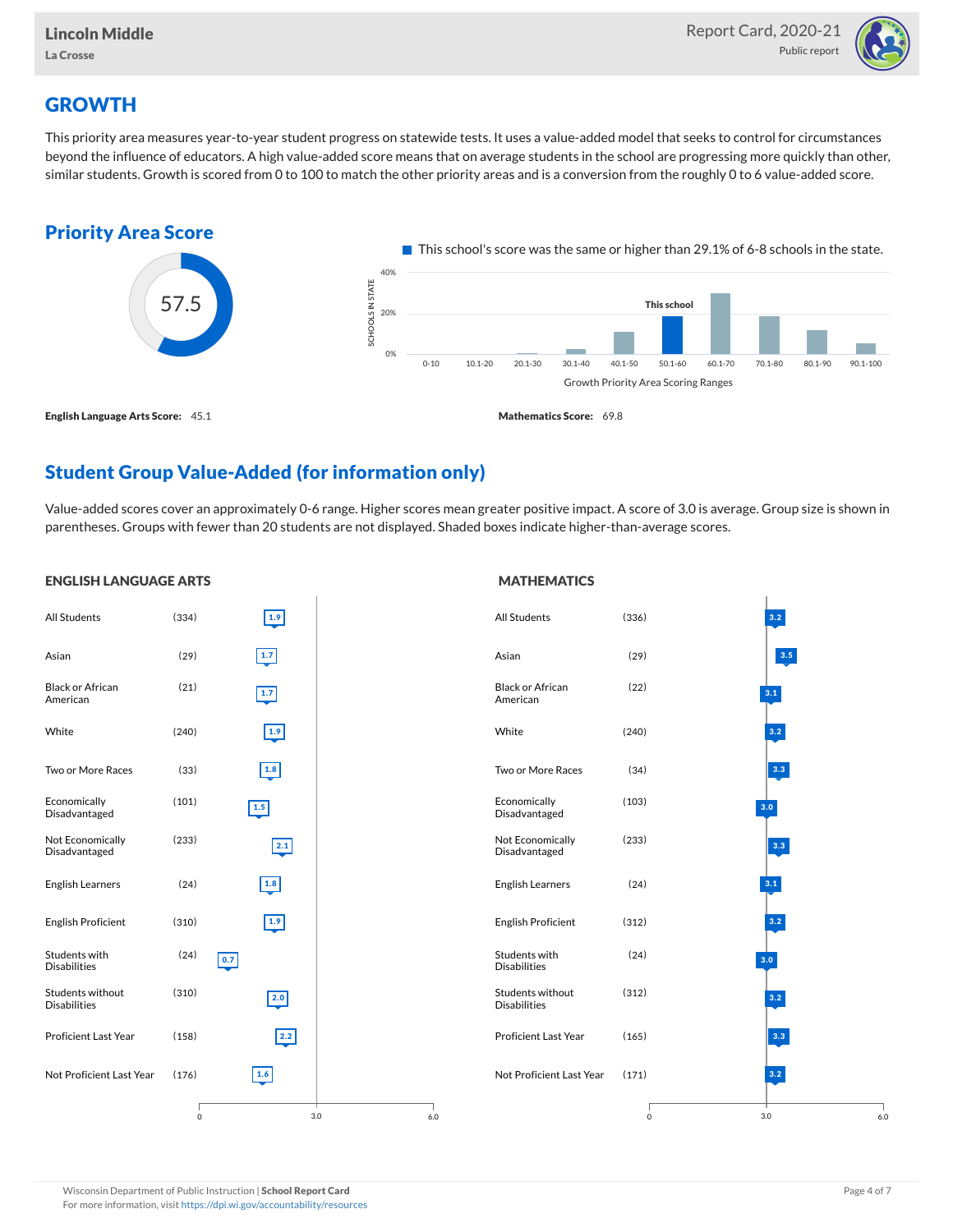

# **GROWTH**

ENGLISH LANGUAGE ARTS

This priority area measures year-to-year student progress on statewide tests. It uses a value-added model that seeks to control for circumstances beyond the influence of educators. A high value-added score means that on average students in the school are progressing more quickly than other, similar students. Growth is scored from 0 to 100 to match the other priority areas and is a conversion from the roughly 0 to 6 value-added score.



### Student Group Value-Added (for information only)

Value-added scores cover an approximately 0-6 range. Higher scores mean greater positive impact. A score of 3.0 is average. Group size is shown in parentheses. Groups with fewer than 20 students are not displayed. Shaded boxes indicate higher-than-average scores.

#### All Students (334) Asian (29) Black or African American (21) White (240) Two or More Races (33) Economically Disadvantaged (101) Not Economically Disadvantaged (233) English Learners (24) English Proficient (310) Students with Disabilities (24) Students without Disabilities (310) Proficient Last Year (158) Not Proficient Last Year (176) 3.0 1.9 1.7 1.7 1.9 1.8 1.5 2.1 1.8 1.9  $\boxed{0.7}$ 2.0 2.2 1.6 0 6.0 All Students (336) Asian (29) Black or African American (22) White (240) Two or More Races (34) Economically Disadvantaged (103) Not Economically Disadvantaged (233) English Learners (24) English Proficient (312) Students with Disabilities (24) Students without Disabilities (312) Proficient Last Year (165) Not Proficient Last Year (171) 3.0 3.2 3.5 3.1 3.2 3.3 3.0 3.3 3.1 3.2 3.0 3.2 3.3 3.2 0 6.0

For more information, visit <https://dpi.wi.gov/accountability/resources>

#### **MATHEMATICS**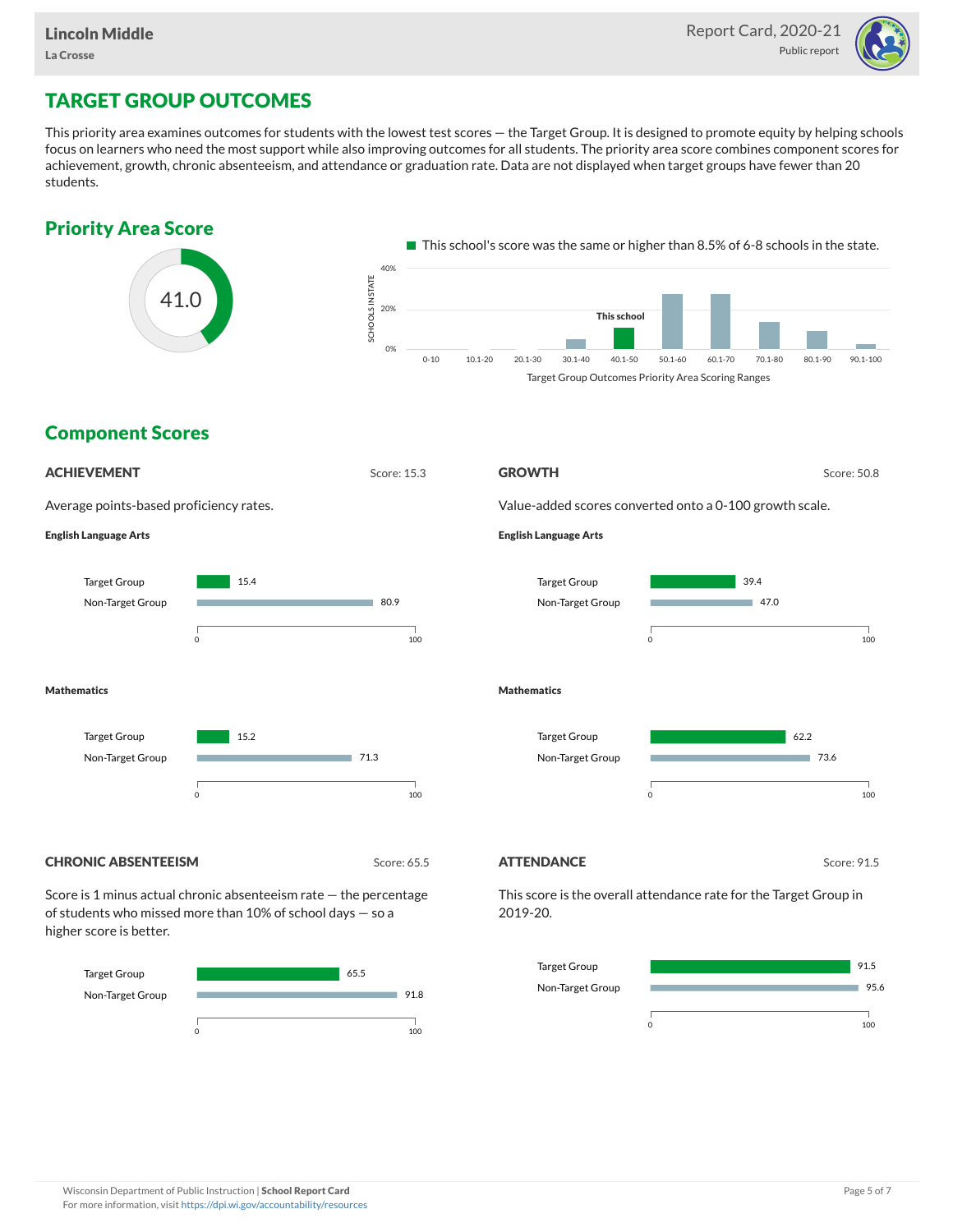

# TARGET GROUP OUTCOMES

This priority area examines outcomes for students with the lowest test scores — the Target Group. It is designed to promote equity by helping schools focus on learners who need the most support while also improving outcomes for all students. The priority area score combines component scores for achievement, growth, chronic absenteeism, and attendance or graduation rate. Data are not displayed when target groups have fewer than 20 students.





Non-Target Group

95.6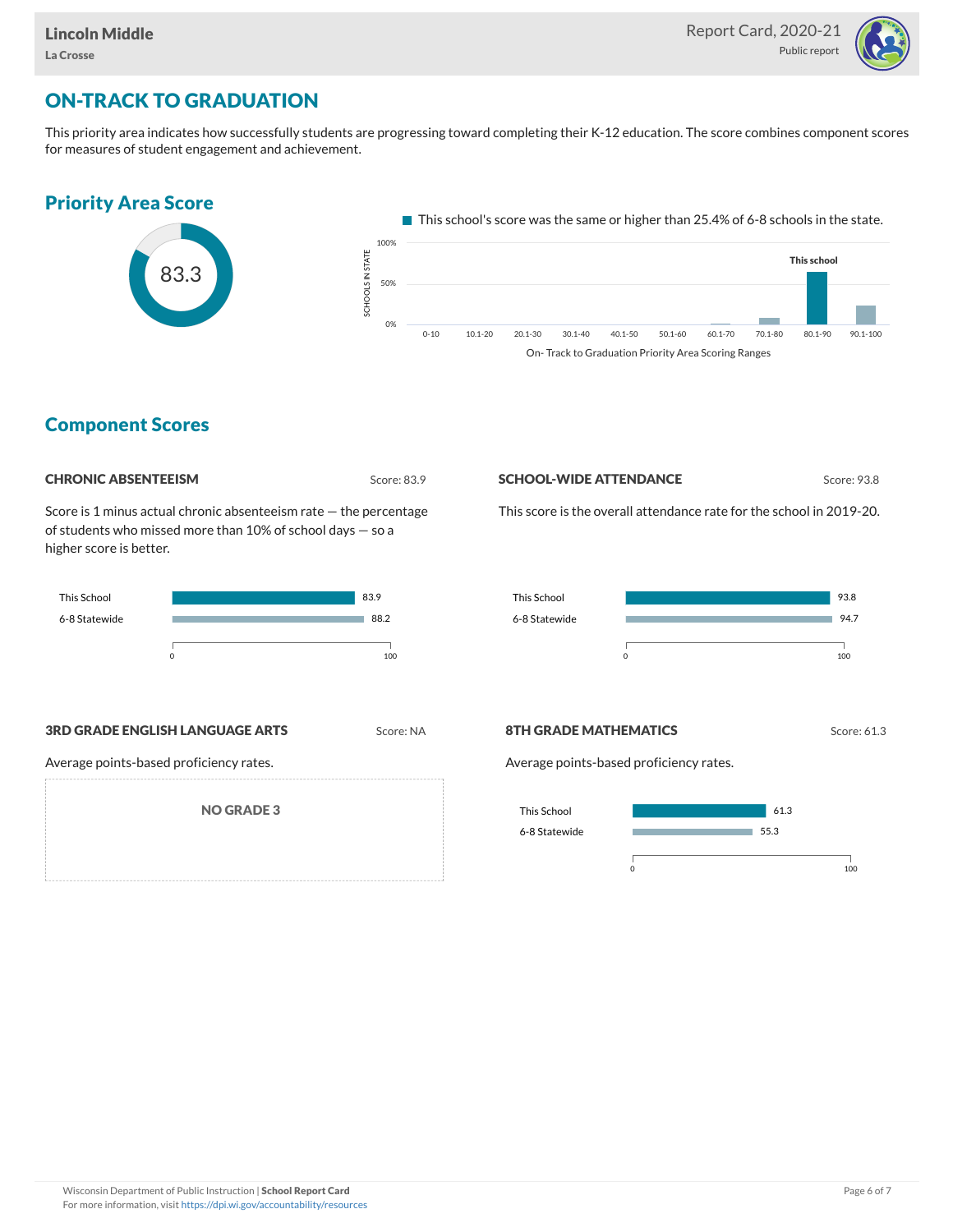

# ON-TRACK TO GRADUATION

This priority area indicates how successfully students are progressing toward completing their K-12 education. The score combines component scores for measures of student engagement and achievement.



### Component Scores